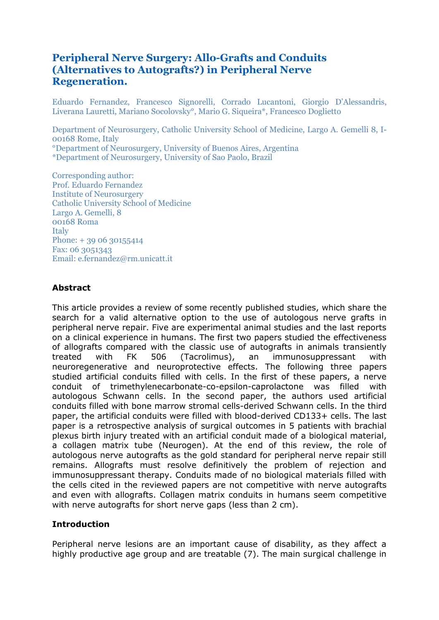# **Peripheral Nerve Surgery: Allo-Grafts and Conduits (Alternatives to Autografts?) in Peripheral Nerve Regeneration.**

Eduardo Fernandez, Francesco Signorelli, Corrado Lucantoni, Giorgio D'Alessandris, Liverana Lauretti, Mariano Socolovsky°, Mario G. Siqueira\*, Francesco Doglietto

Department of Neurosurgery, Catholic University School of Medicine, Largo A. Gemelli 8, I-00168 Rome, Italy °Department of Neurosurgery, University of Buenos Aires, Argentina \*Department of Neurosurgery, University of Sao Paolo, Brazil

Corresponding author: Prof. Eduardo Fernandez Institute of Neurosurgery Catholic University School of Medicine Largo A. Gemelli, 8 00168 Roma Italy Phone: + 39 06 30155414 Fax: 06 3051343 Email: e.fernandez@rm.unicatt.it

#### **Abstract**

This article provides a review of some recently published studies, which share the search for a valid alternative option to the use of autologous nerve grafts in peripheral nerve repair. Five are experimental animal studies and the last reports on a clinical experience in humans. The first two papers studied the effectiveness of allografts compared with the classic use of autografts in animals transiently treated with FK 506 (Tacrolimus), an immunosuppressant with neuroregenerative and neuroprotective effects. The following three papers studied artificial conduits filled with cells. In the first of these papers, a nerve conduit of trimethylenecarbonate-co-epsilon-caprolactone was filled with autologous Schwann cells. In the second paper, the authors used artificial conduits filled with bone marrow stromal cells-derived Schwann cells. In the third paper, the artificial conduits were filled with blood-derived CD133+ cells. The last paper is a retrospective analysis of surgical outcomes in 5 patients with brachial plexus birth injury treated with an artificial conduit made of a biological material, a collagen matrix tube (Neurogen). At the end of this review, the role of autologous nerve autografts as the gold standard for peripheral nerve repair still remains. Allografts must resolve definitively the problem of rejection and immunosuppressant therapy. Conduits made of no biological materials filled with the cells cited in the reviewed papers are not competitive with nerve autografts and even with allografts. Collagen matrix conduits in humans seem competitive with nerve autografts for short nerve gaps (less than 2 cm).

#### **Introduction**

Peripheral nerve lesions are an important cause of disability, as they affect a highly productive age group and are treatable (7). The main surgical challenge in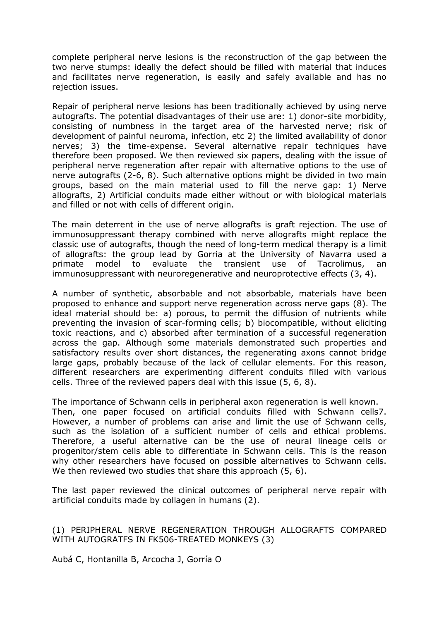complete peripheral nerve lesions is the reconstruction of the gap between the two nerve stumps: ideally the defect should be filled with material that induces and facilitates nerve regeneration, is easily and safely available and has no rejection issues.

Repair of peripheral nerve lesions has been traditionally achieved by using nerve autografts. The potential disadvantages of their use are: 1) donor-site morbidity, consisting of numbness in the target area of the harvested nerve; risk of development of painful neuroma, infection, etc 2) the limited availability of donor nerves; 3) the time-expense. Several alternative repair techniques have therefore been proposed. We then reviewed six papers, dealing with the issue of peripheral nerve regeneration after repair with alternative options to the use of nerve autografts (2-6, 8). Such alternative options might be divided in two main groups, based on the main material used to fill the nerve gap: 1) Nerve allografts, 2) Artificial conduits made either without or with biological materials and filled or not with cells of different origin.

The main deterrent in the use of nerve allografts is graft rejection. The use of immunosuppressant therapy combined with nerve allografts might replace the classic use of autografts, though the need of long-term medical therapy is a limit of allografts: the group lead by Gorria at the University of Navarra used a primate model to evaluate the transient use of Tacrolimus, an immunosuppressant with neuroregenerative and neuroprotective effects (3, 4).

A number of synthetic, absorbable and not absorbable, materials have been proposed to enhance and support nerve regeneration across nerve gaps (8). The ideal material should be: a) porous, to permit the diffusion of nutrients while preventing the invasion of scar-forming cells; b) biocompatible, without eliciting toxic reactions, and c) absorbed after termination of a successful regeneration across the gap. Although some materials demonstrated such properties and satisfactory results over short distances, the regenerating axons cannot bridge large gaps, probably because of the lack of cellular elements. For this reason, different researchers are experimenting different conduits filled with various cells. Three of the reviewed papers deal with this issue (5, 6, 8).

The importance of Schwann cells in peripheral axon regeneration is well known. Then, one paper focused on artificial conduits filled with Schwann cells7. However, a number of problems can arise and limit the use of Schwann cells, such as the isolation of a sufficient number of cells and ethical problems. Therefore, a useful alternative can be the use of neural lineage cells or progenitor/stem cells able to differentiate in Schwann cells. This is the reason why other researchers have focused on possible alternatives to Schwann cells. We then reviewed two studies that share this approach (5, 6).

The last paper reviewed the clinical outcomes of peripheral nerve repair with artificial conduits made by collagen in humans (2).

(1) PERIPHERAL NERVE REGENERATION THROUGH ALLOGRAFTS COMPARED WITH AUTOGRATFS IN FK506-TREATED MONKEYS (3)

Aubá C, Hontanilla B, Arcocha J, Gorría O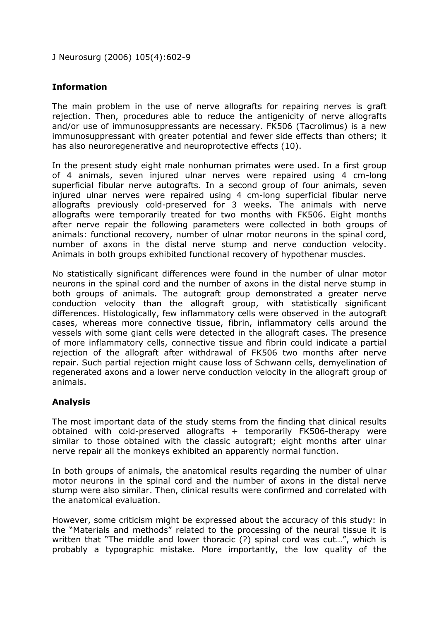J Neurosurg (2006) 105(4):602-9

### **Information**

The main problem in the use of nerve allografts for repairing nerves is graft rejection. Then, procedures able to reduce the antigenicity of nerve allografts and/or use of immunosuppressants are necessary. FK506 (Tacrolimus) is a new immunosuppressant with greater potential and fewer side effects than others; it has also neuroregenerative and neuroprotective effects (10).

In the present study eight male nonhuman primates were used. In a first group of 4 animals, seven injured ulnar nerves were repaired using 4 cm-long superficial fibular nerve autografts. In a second group of four animals, seven injured ulnar nerves were repaired using 4 cm-long superficial fibular nerve allografts previously cold-preserved for 3 weeks. The animals with nerve allografts were temporarily treated for two months with FK506. Eight months after nerve repair the following parameters were collected in both groups of animals: functional recovery, number of ulnar motor neurons in the spinal cord, number of axons in the distal nerve stump and nerve conduction velocity. Animals in both groups exhibited functional recovery of hypothenar muscles.

No statistically significant differences were found in the number of ulnar motor neurons in the spinal cord and the number of axons in the distal nerve stump in both groups of animals. The autograft group demonstrated a greater nerve conduction velocity than the allograft group, with statistically significant differences. Histologically, few inflammatory cells were observed in the autograft cases, whereas more connective tissue, fibrin, inflammatory cells around the vessels with some giant cells were detected in the allograft cases. The presence of more inflammatory cells, connective tissue and fibrin could indicate a partial rejection of the allograft after withdrawal of FK506 two months after nerve repair. Such partial rejection might cause loss of Schwann cells, demyelination of regenerated axons and a lower nerve conduction velocity in the allograft group of animals.

#### **Analysis**

The most important data of the study stems from the finding that clinical results obtained with cold-preserved allografts + temporarily FK506-therapy were similar to those obtained with the classic autograft; eight months after ulnar nerve repair all the monkeys exhibited an apparently normal function.

In both groups of animals, the anatomical results regarding the number of ulnar motor neurons in the spinal cord and the number of axons in the distal nerve stump were also similar. Then, clinical results were confirmed and correlated with the anatomical evaluation.

However, some criticism might be expressed about the accuracy of this study: in the "Materials and methods" related to the processing of the neural tissue it is written that "The middle and lower thoracic (?) spinal cord was cut...", which is probably a typographic mistake. More importantly, the low quality of the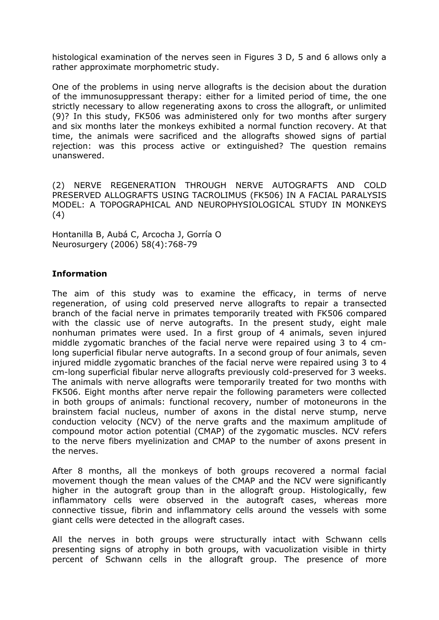histological examination of the nerves seen in Figures 3 D, 5 and 6 allows only a rather approximate morphometric study.

One of the problems in using nerve allografts is the decision about the duration of the immunosuppressant therapy: either for a limited period of time, the one strictly necessary to allow regenerating axons to cross the allograft, or unlimited (9)? In this study, FK506 was administered only for two months after surgery and six months later the monkeys exhibited a normal function recovery. At that time, the animals were sacrificed and the allografts showed signs of partial rejection: was this process active or extinguished? The question remains unanswered.

(2) NERVE REGENERATION THROUGH NERVE AUTOGRAFTS AND COLD PRESERVED ALLOGRAFTS USING TACROLIMUS (FK506) IN A FACIAL PARALYSIS MODEL: A TOPOGRAPHICAL AND NEUROPHYSIOLOGICAL STUDY IN MONKEYS (4)

Hontanilla B, Aubá C, Arcocha J, Gorría O Neurosurgery (2006) 58(4):768-79

# **Information**

The aim of this study was to examine the efficacy, in terms of nerve regeneration, of using cold preserved nerve allografts to repair a transected branch of the facial nerve in primates temporarily treated with FK506 compared with the classic use of nerve autografts. In the present study, eight male nonhuman primates were used. In a first group of 4 animals, seven injured middle zygomatic branches of the facial nerve were repaired using 3 to 4 cmlong superficial fibular nerve autografts. In a second group of four animals, seven injured middle zygomatic branches of the facial nerve were repaired using 3 to 4 cm-long superficial fibular nerve allografts previously cold-preserved for 3 weeks. The animals with nerve allografts were temporarily treated for two months with FK506. Eight months after nerve repair the following parameters were collected in both groups of animals: functional recovery, number of motoneurons in the brainstem facial nucleus, number of axons in the distal nerve stump, nerve conduction velocity (NCV) of the nerve grafts and the maximum amplitude of compound motor action potential (CMAP) of the zygomatic muscles. NCV refers to the nerve fibers myelinization and CMAP to the number of axons present in the nerves.

After 8 months, all the monkeys of both groups recovered a normal facial movement though the mean values of the CMAP and the NCV were significantly higher in the autograft group than in the allograft group. Histologically, few inflammatory cells were observed in the autograft cases, whereas more connective tissue, fibrin and inflammatory cells around the vessels with some giant cells were detected in the allograft cases.

All the nerves in both groups were structurally intact with Schwann cells presenting signs of atrophy in both groups, with vacuolization visible in thirty percent of Schwann cells in the allograft group. The presence of more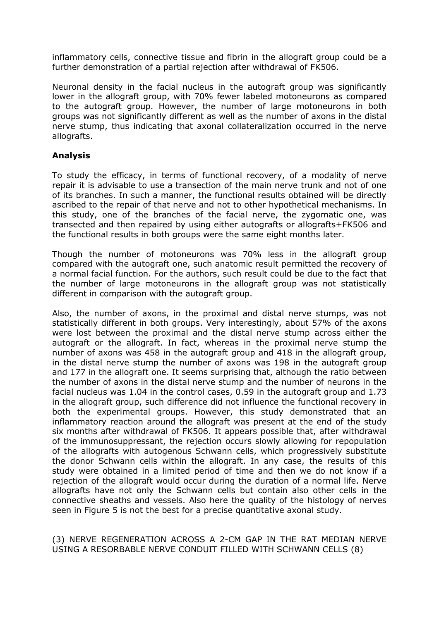inflammatory cells, connective tissue and fibrin in the allograft group could be a further demonstration of a partial rejection after withdrawal of FK506.

Neuronal density in the facial nucleus in the autograft group was significantly lower in the allograft group, with 70% fewer labeled motoneurons as compared to the autograft group. However, the number of large motoneurons in both groups was not significantly different as well as the number of axons in the distal nerve stump, thus indicating that axonal collateralization occurred in the nerve allografts.

# **Analysis**

To study the efficacy, in terms of functional recovery, of a modality of nerve repair it is advisable to use a transection of the main nerve trunk and not of one of its branches. In such a manner, the functional results obtained will be directly ascribed to the repair of that nerve and not to other hypothetical mechanisms. In this study, one of the branches of the facial nerve, the zygomatic one, was transected and then repaired by using either autografts or allografts+FK506 and the functional results in both groups were the same eight months later.

Though the number of motoneurons was 70% less in the allograft group compared with the autograft one, such anatomic result permitted the recovery of a normal facial function. For the authors, such result could be due to the fact that the number of large motoneurons in the allograft group was not statistically different in comparison with the autograft group.

Also, the number of axons, in the proximal and distal nerve stumps, was not statistically different in both groups. Very interestingly, about 57% of the axons were lost between the proximal and the distal nerve stump across either the autograft or the allograft. In fact, whereas in the proximal nerve stump the number of axons was 458 in the autograft group and 418 in the allograft group, in the distal nerve stump the number of axons was 198 in the autograft group and 177 in the allograft one. It seems surprising that, although the ratio between the number of axons in the distal nerve stump and the number of neurons in the facial nucleus was 1.04 in the control cases, 0.59 in the autograft group and 1.73 in the allograft group, such difference did not influence the functional recovery in both the experimental groups. However, this study demonstrated that an inflammatory reaction around the allograft was present at the end of the study six months after withdrawal of FK506. It appears possible that, after withdrawal of the immunosuppressant, the rejection occurs slowly allowing for repopulation of the allografts with autogenous Schwann cells, which progressively substitute the donor Schwann cells within the allograft. In any case, the results of this study were obtained in a limited period of time and then we do not know if a rejection of the allograft would occur during the duration of a normal life. Nerve allografts have not only the Schwann cells but contain also other cells in the connective sheaths and vessels. Also here the quality of the histology of nerves seen in Figure 5 is not the best for a precise quantitative axonal study.

(3) NERVE REGENERATION ACROSS A 2-CM GAP IN THE RAT MEDIAN NERVE USING A RESORBABLE NERVE CONDUIT FILLED WITH SCHWANN CELLS (8)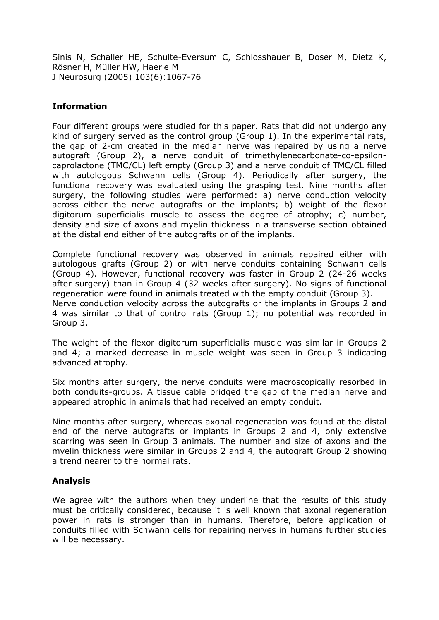Sinis N, Schaller HE, Schulte-Eversum C, Schlosshauer B, Doser M, Dietz K, Rösner H, Müller HW, Haerle M J Neurosurg (2005) 103(6):1067-76

#### **Information**

Four different groups were studied for this paper. Rats that did not undergo any kind of surgery served as the control group (Group 1). In the experimental rats, the gap of 2-cm created in the median nerve was repaired by using a nerve autograft (Group 2), a nerve conduit of trimethylenecarbonate-co-epsiloncaprolactone (TMC/CL) left empty (Group 3) and a nerve conduit of TMC/CL filled with autologous Schwann cells (Group 4). Periodically after surgery, the functional recovery was evaluated using the grasping test. Nine months after surgery, the following studies were performed: a) nerve conduction velocity across either the nerve autografts or the implants; b) weight of the flexor digitorum superficialis muscle to assess the degree of atrophy; c) number, density and size of axons and myelin thickness in a transverse section obtained at the distal end either of the autografts or of the implants.

Complete functional recovery was observed in animals repaired either with autologous grafts (Group 2) or with nerve conduits containing Schwann cells (Group 4). However, functional recovery was faster in Group 2 (24-26 weeks after surgery) than in Group 4 (32 weeks after surgery). No signs of functional regeneration were found in animals treated with the empty conduit (Group 3). Nerve conduction velocity across the autografts or the implants in Groups 2 and 4 was similar to that of control rats (Group 1); no potential was recorded in Group 3.

The weight of the flexor digitorum superficialis muscle was similar in Groups 2 and 4; a marked decrease in muscle weight was seen in Group 3 indicating advanced atrophy.

Six months after surgery, the nerve conduits were macroscopically resorbed in both conduits-groups. A tissue cable bridged the gap of the median nerve and appeared atrophic in animals that had received an empty conduit.

Nine months after surgery, whereas axonal regeneration was found at the distal end of the nerve autografts or implants in Groups 2 and 4, only extensive scarring was seen in Group 3 animals. The number and size of axons and the myelin thickness were similar in Groups 2 and 4, the autograft Group 2 showing a trend nearer to the normal rats.

#### **Analysis**

We agree with the authors when they underline that the results of this study must be critically considered, because it is well known that axonal regeneration power in rats is stronger than in humans. Therefore, before application of conduits filled with Schwann cells for repairing nerves in humans further studies will be necessary.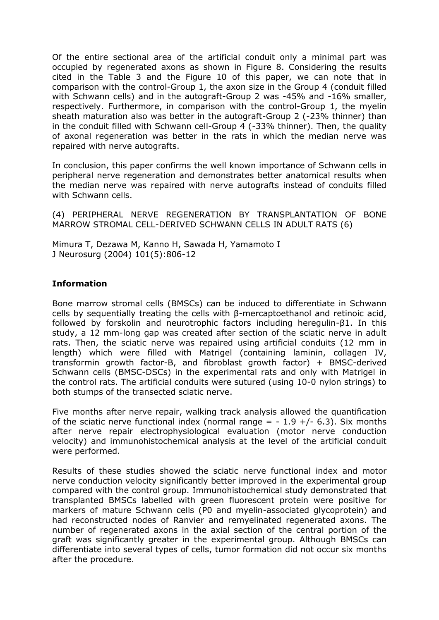Of the entire sectional area of the artificial conduit only a minimal part was occupied by regenerated axons as shown in Figure 8. Considering the results cited in the Table 3 and the Figure 10 of this paper, we can note that in comparison with the control-Group 1, the axon size in the Group 4 (conduit filled with Schwann cells) and in the autograft-Group 2 was -45% and -16% smaller, respectively. Furthermore, in comparison with the control-Group 1, the myelin sheath maturation also was better in the autograft-Group 2 (-23% thinner) than in the conduit filled with Schwann cell-Group 4 (-33% thinner). Then, the quality of axonal regeneration was better in the rats in which the median nerve was repaired with nerve autografts.

In conclusion, this paper confirms the well known importance of Schwann cells in peripheral nerve regeneration and demonstrates better anatomical results when the median nerve was repaired with nerve autografts instead of conduits filled with Schwann cells.

(4) PERIPHERAL NERVE REGENERATION BY TRANSPLANTATION OF BONE MARROW STROMAL CELL-DERIVED SCHWANN CELLS IN ADULT RATS (6)

Mimura T, Dezawa M, Kanno H, Sawada H, Yamamoto I J Neurosurg (2004) 101(5):806-12

# **Information**

Bone marrow stromal cells (BMSCs) can be induced to differentiate in Schwann cells by sequentially treating the cells with β-mercaptoethanol and retinoic acid, followed by forskolin and neurotrophic factors including heregulin-β1. In this study, a 12 mm-long gap was created after section of the sciatic nerve in adult rats. Then, the sciatic nerve was repaired using artificial conduits (12 mm in length) which were filled with Matrigel (containing laminin, collagen IV, transformin growth factor-B, and fibroblast growth factor) + BMSC-derived Schwann cells (BMSC-DSCs) in the experimental rats and only with Matrigel in the control rats. The artificial conduits were sutured (using 10-0 nylon strings) to both stumps of the transected sciatic nerve.

Five months after nerve repair, walking track analysis allowed the quantification of the sciatic nerve functional index (normal range  $= -1.9 +/- 6.3$ ). Six months after nerve repair electrophysiological evaluation (motor nerve conduction velocity) and immunohistochemical analysis at the level of the artificial conduit were performed.

Results of these studies showed the sciatic nerve functional index and motor nerve conduction velocity significantly better improved in the experimental group compared with the control group. Immunohistochemical study demonstrated that transplanted BMSCs labelled with green fluorescent protein were positive for markers of mature Schwann cells (P0 and myelin-associated glycoprotein) and had reconstructed nodes of Ranvier and remyelinated regenerated axons. The number of regenerated axons in the axial section of the central portion of the graft was significantly greater in the experimental group. Although BMSCs can differentiate into several types of cells, tumor formation did not occur six months after the procedure.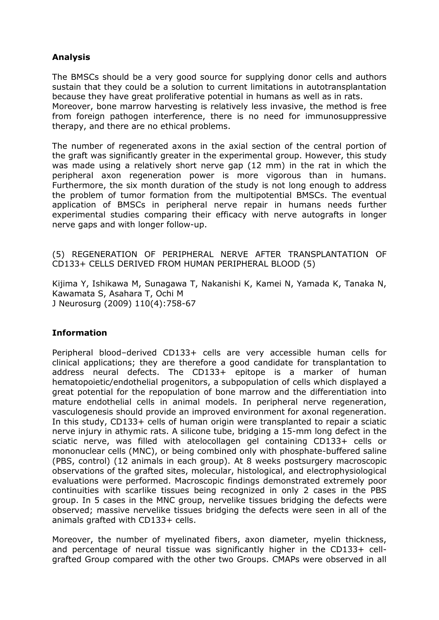# **Analysis**

The BMSCs should be a very good source for supplying donor cells and authors sustain that they could be a solution to current limitations in autotransplantation because they have great proliferative potential in humans as well as in rats.

Moreover, bone marrow harvesting is relatively less invasive, the method is free from foreign pathogen interference, there is no need for immunosuppressive therapy, and there are no ethical problems.

The number of regenerated axons in the axial section of the central portion of the graft was significantly greater in the experimental group. However, this study was made using a relatively short nerve gap (12 mm) in the rat in which the peripheral axon regeneration power is more vigorous than in humans. Furthermore, the six month duration of the study is not long enough to address the problem of tumor formation from the multipotential BMSCs. The eventual application of BMSCs in peripheral nerve repair in humans needs further experimental studies comparing their efficacy with nerve autografts in longer nerve gaps and with longer follow-up.

(5) REGENERATION OF PERIPHERAL NERVE AFTER TRANSPLANTATION OF CD133+ CELLS DERIVED FROM HUMAN PERIPHERAL BLOOD (5)

Kijima Y, Ishikawa M, Sunagawa T, Nakanishi K, Kamei N, Yamada K, Tanaka N, Kawamata S, Asahara T, Ochi M J Neurosurg (2009) 110(4):758-67

# **Information**

Peripheral blood–derived CD133+ cells are very accessible human cells for clinical applications; they are therefore a good candidate for transplantation to address neural defects. The CD133+ epitope is a marker of human hematopoietic/endothelial progenitors, a subpopulation of cells which displayed a great potential for the repopulation of bone marrow and the differentiation into mature endothelial cells in animal models. In peripheral nerve regeneration, vasculogenesis should provide an improved environment for axonal regeneration. In this study, CD133+ cells of human origin were transplanted to repair a sciatic nerve injury in athymic rats. A silicone tube, bridging a 15-mm long defect in the sciatic nerve, was filled with atelocollagen gel containing CD133+ cells or mononuclear cells (MNC), or being combined only with phosphate-buffered saline (PBS, control) (12 animals in each group). At 8 weeks postsurgery macroscopic observations of the grafted sites, molecular, histological, and electrophysiological evaluations were performed. Macroscopic findings demonstrated extremely poor continuities with scarlike tissues being recognized in only 2 cases in the PBS group. In 5 cases in the MNC group, nervelike tissues bridging the defects were observed; massive nervelike tissues bridging the defects were seen in all of the animals grafted with CD133+ cells.

Moreover, the number of myelinated fibers, axon diameter, myelin thickness, and percentage of neural tissue was significantly higher in the CD133+ cellgrafted Group compared with the other two Groups. CMAPs were observed in all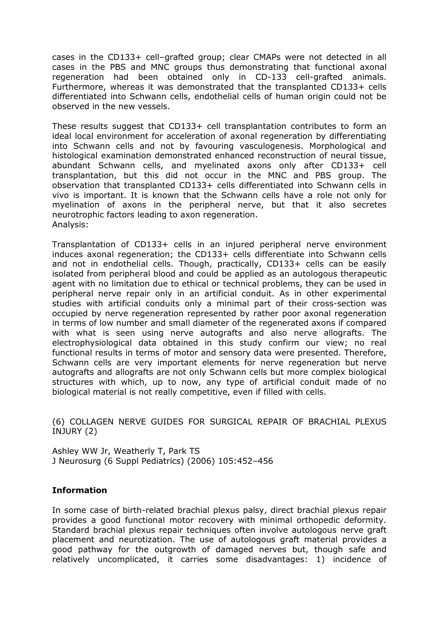cases in the CD133+ cell–grafted group; clear CMAPs were not detected in all cases in the PBS and MNC groups thus demonstrating that functional axonal regeneration had been obtained only in CD-133 cell-grafted animals. Furthermore, whereas it was demonstrated that the transplanted CD133+ cells differentiated into Schwann cells, endothelial cells of human origin could not be observed in the new vessels.

These results suggest that CD133+ cell transplantation contributes to form an ideal local environment for acceleration of axonal regeneration by differentiating into Schwann cells and not by favouring vasculogenesis. Morphological and histological examination demonstrated enhanced reconstruction of neural tissue, abundant Schwann cells, and myelinated axons only after CD133+ cell transplantation, but this did not occur in the MNC and PBS group. The observation that transplanted CD133+ cells differentiated into Schwann cells in vivo is important. It is known that the Schwann cells have a role not only for myelination of axons in the peripheral nerve, but that it also secretes neurotrophic factors leading to axon regeneration. Analysis:

Transplantation of CD133+ cells in an injured peripheral nerve environment induces axonal regeneration; the CD133+ cells differentiate into Schwann cells and not in endothelial cells. Though, practically, CD133+ cells can be easily isolated from peripheral blood and could be applied as an autologous therapeutic agent with no limitation due to ethical or technical problems, they can be used in peripheral nerve repair only in an artificial conduit. As in other experimental studies with artificial conduits only a minimal part of their cross-section was occupied by nerve regeneration represented by rather poor axonal regeneration in terms of low number and small diameter of the regenerated axons if compared with what is seen using nerve autografts and also nerve allografts. The electrophysiological data obtained in this study confirm our view; no real functional results in terms of motor and sensory data were presented. Therefore, Schwann cells are very important elements for nerve regeneration but nerve autografts and allografts are not only Schwann cells but more complex biological structures with which, up to now, any type of artificial conduit made of no biological material is not really competitive, even if filled with cells.

(6) COLLAGEN NERVE GUIDES FOR SURGICAL REPAIR OF BRACHIAL PLEXUS INJURY (2)

Ashley WW Jr, Weatherly T, Park TS J Neurosurg (6 Suppl Pediatrics) (2006) 105:452–456

#### **Information**

In some case of birth-related brachial plexus palsy, direct brachial plexus repair provides a good functional motor recovery with minimal orthopedic deformity. Standard brachial plexus repair techniques often involve autologous nerve graft placement and neurotization. The use of autologous graft material provides a good pathway for the outgrowth of damaged nerves but, though safe and relatively uncomplicated, it carries some disadvantages: 1) incidence of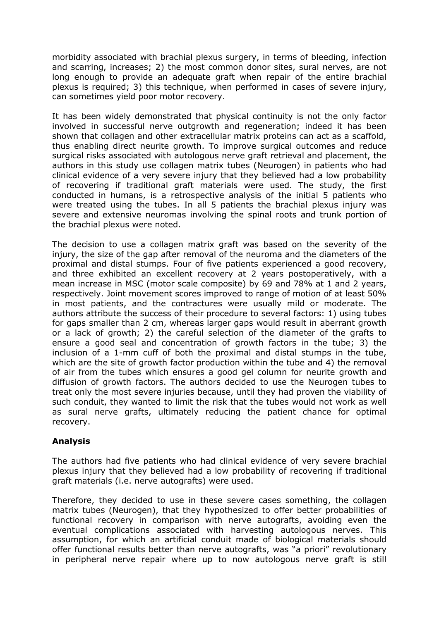morbidity associated with brachial plexus surgery, in terms of bleeding, infection and scarring, increases; 2) the most common donor sites, sural nerves, are not long enough to provide an adequate graft when repair of the entire brachial plexus is required; 3) this technique, when performed in cases of severe injury, can sometimes yield poor motor recovery.

It has been widely demonstrated that physical continuity is not the only factor involved in successful nerve outgrowth and regeneration; indeed it has been shown that collagen and other extracellular matrix proteins can act as a scaffold, thus enabling direct neurite growth. To improve surgical outcomes and reduce surgical risks associated with autologous nerve graft retrieval and placement, the authors in this study use collagen matrix tubes (Neurogen) in patients who had clinical evidence of a very severe injury that they believed had a low probability of recovering if traditional graft materials were used. The study, the first conducted in humans, is a retrospective analysis of the initial 5 patients who were treated using the tubes. In all 5 patients the brachial plexus injury was severe and extensive neuromas involving the spinal roots and trunk portion of the brachial plexus were noted.

The decision to use a collagen matrix graft was based on the severity of the injury, the size of the gap after removal of the neuroma and the diameters of the proximal and distal stumps. Four of five patients experienced a good recovery, and three exhibited an excellent recovery at 2 years postoperatively, with a mean increase in MSC (motor scale composite) by 69 and 78% at 1 and 2 years, respectively. Joint movement scores improved to range of motion of at least 50% in most patients, and the contractures were usually mild or moderate. The authors attribute the success of their procedure to several factors: 1) using tubes for gaps smaller than 2 cm, whereas larger gaps would result in aberrant growth or a lack of growth; 2) the careful selection of the diameter of the grafts to ensure a good seal and concentration of growth factors in the tube; 3) the inclusion of a 1-mm cuff of both the proximal and distal stumps in the tube, which are the site of growth factor production within the tube and 4) the removal of air from the tubes which ensures a good gel column for neurite growth and diffusion of growth factors. The authors decided to use the Neurogen tubes to treat only the most severe injuries because, until they had proven the viability of such conduit, they wanted to limit the risk that the tubes would not work as well as sural nerve grafts, ultimately reducing the patient chance for optimal recovery.

# **Analysis**

The authors had five patients who had clinical evidence of very severe brachial plexus injury that they believed had a low probability of recovering if traditional graft materials (i.e. nerve autografts) were used.

Therefore, they decided to use in these severe cases something, the collagen matrix tubes (Neurogen), that they hypothesized to offer better probabilities of functional recovery in comparison with nerve autografts, avoiding even the eventual complications associated with harvesting autologous nerves. This assumption, for which an artificial conduit made of biological materials should offer functional results better than nerve autografts, was "a priori" revolutionary in peripheral nerve repair where up to now autologous nerve graft is still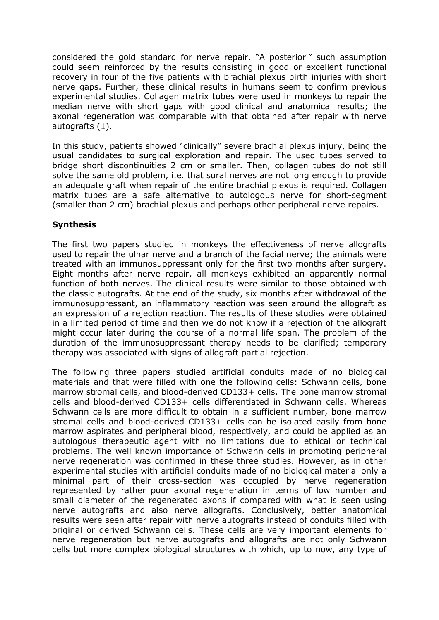considered the gold standard for nerve repair. "A posteriori" such assumption could seem reinforced by the results consisting in good or excellent functional recovery in four of the five patients with brachial plexus birth injuries with short nerve gaps. Further, these clinical results in humans seem to confirm previous experimental studies. Collagen matrix tubes were used in monkeys to repair the median nerve with short gaps with good clinical and anatomical results; the axonal regeneration was comparable with that obtained after repair with nerve autografts (1).

In this study, patients showed "clinically" severe brachial plexus injury, being the usual candidates to surgical exploration and repair. The used tubes served to bridge short discontinuities 2 cm or smaller. Then, collagen tubes do not still solve the same old problem, i.e. that sural nerves are not long enough to provide an adequate graft when repair of the entire brachial plexus is required. Collagen matrix tubes are a safe alternative to autologous nerve for short-segment (smaller than 2 cm) brachial plexus and perhaps other peripheral nerve repairs.

# **Synthesis**

The first two papers studied in monkeys the effectiveness of nerve allografts used to repair the ulnar nerve and a branch of the facial nerve; the animals were treated with an immunosuppressant only for the first two months after surgery. Eight months after nerve repair, all monkeys exhibited an apparently normal function of both nerves. The clinical results were similar to those obtained with the classic autografts. At the end of the study, six months after withdrawal of the immunosuppressant, an inflammatory reaction was seen around the allograft as an expression of a rejection reaction. The results of these studies were obtained in a limited period of time and then we do not know if a rejection of the allograft might occur later during the course of a normal life span. The problem of the duration of the immunosuppressant therapy needs to be clarified; temporary therapy was associated with signs of allograft partial rejection.

The following three papers studied artificial conduits made of no biological materials and that were filled with one the following cells: Schwann cells, bone marrow stromal cells, and blood-derived CD133+ cells. The bone marrow stromal cells and blood-derived CD133+ cells differentiated in Schwann cells. Whereas Schwann cells are more difficult to obtain in a sufficient number, bone marrow stromal cells and blood-derived CD133+ cells can be isolated easily from bone marrow aspirates and peripheral blood, respectively, and could be applied as an autologous therapeutic agent with no limitations due to ethical or technical problems. The well known importance of Schwann cells in promoting peripheral nerve regeneration was confirmed in these three studies. However, as in other experimental studies with artificial conduits made of no biological material only a minimal part of their cross-section was occupied by nerve regeneration represented by rather poor axonal regeneration in terms of low number and small diameter of the regenerated axons if compared with what is seen using nerve autografts and also nerve allografts. Conclusively, better anatomical results were seen after repair with nerve autografts instead of conduits filled with original or derived Schwann cells. These cells are very important elements for nerve regeneration but nerve autografts and allografts are not only Schwann cells but more complex biological structures with which, up to now, any type of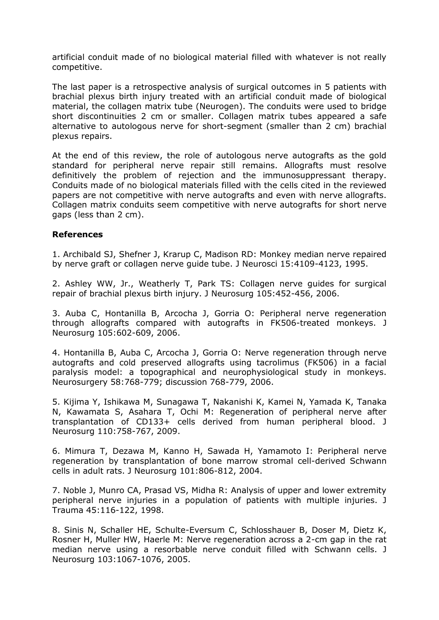artificial conduit made of no biological material filled with whatever is not really competitive.

The last paper is a retrospective analysis of surgical outcomes in 5 patients with brachial plexus birth injury treated with an artificial conduit made of biological material, the collagen matrix tube (Neurogen). The conduits were used to bridge short discontinuities 2 cm or smaller. Collagen matrix tubes appeared a safe alternative to autologous nerve for short-segment (smaller than 2 cm) brachial plexus repairs.

At the end of this review, the role of autologous nerve autografts as the gold standard for peripheral nerve repair still remains. Allografts must resolve definitively the problem of rejection and the immunosuppressant therapy. Conduits made of no biological materials filled with the cells cited in the reviewed papers are not competitive with nerve autografts and even with nerve allografts. Collagen matrix conduits seem competitive with nerve autografts for short nerve gaps (less than 2 cm).

#### **References**

1. Archibald SJ, Shefner J, Krarup C, Madison RD: Monkey median nerve repaired by nerve graft or collagen nerve guide tube. J Neurosci 15:4109-4123, 1995.

2. Ashley WW, Jr., Weatherly T, Park TS: Collagen nerve guides for surgical repair of brachial plexus birth injury. J Neurosurg 105:452-456, 2006.

3. Auba C, Hontanilla B, Arcocha J, Gorria O: Peripheral nerve regeneration through allografts compared with autografts in FK506-treated monkeys. J Neurosurg 105:602-609, 2006.

4. Hontanilla B, Auba C, Arcocha J, Gorria O: Nerve regeneration through nerve autografts and cold preserved allografts using tacrolimus (FK506) in a facial paralysis model: a topographical and neurophysiological study in monkeys. Neurosurgery 58:768-779; discussion 768-779, 2006.

5. Kijima Y, Ishikawa M, Sunagawa T, Nakanishi K, Kamei N, Yamada K, Tanaka N, Kawamata S, Asahara T, Ochi M: Regeneration of peripheral nerve after transplantation of CD133+ cells derived from human peripheral blood. J Neurosurg 110:758-767, 2009.

6. Mimura T, Dezawa M, Kanno H, Sawada H, Yamamoto I: Peripheral nerve regeneration by transplantation of bone marrow stromal cell-derived Schwann cells in adult rats. J Neurosurg 101:806-812, 2004.

7. Noble J, Munro CA, Prasad VS, Midha R: Analysis of upper and lower extremity peripheral nerve injuries in a population of patients with multiple injuries. J Trauma 45:116-122, 1998.

8. Sinis N, Schaller HE, Schulte-Eversum C, Schlosshauer B, Doser M, Dietz K, Rosner H, Muller HW, Haerle M: Nerve regeneration across a 2-cm gap in the rat median nerve using a resorbable nerve conduit filled with Schwann cells. J Neurosurg 103:1067-1076, 2005.